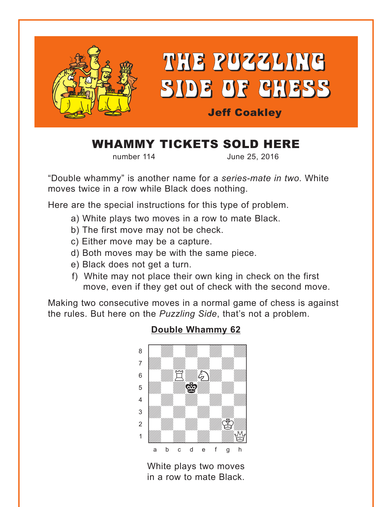<span id="page-0-0"></span>

## WHAMMY TICKETS SOLD HERE

number 114 June 25, 2016

"Double whammy" is another name for a *series-mate in two*. White moves twice in a row while Black does nothing.

Here are the special instructions for this type of problem.

- a) White plays two moves in a row to mate Black.
- b) The first move may not be check.
- c) Either move may be a capture.
- d) Both moves may be with the same piece.
- e) Black does not get a turn.
- f) White may not place their own king in check on the first move, even if they get out of check with the second move.

Making two consecutive moves in a normal game of chess is against the rules. But here on the *Puzzling Side*, that's not a problem.



### **[Double Whammy 62](#page-4-0)**

White plays two moves in a row to mate Black.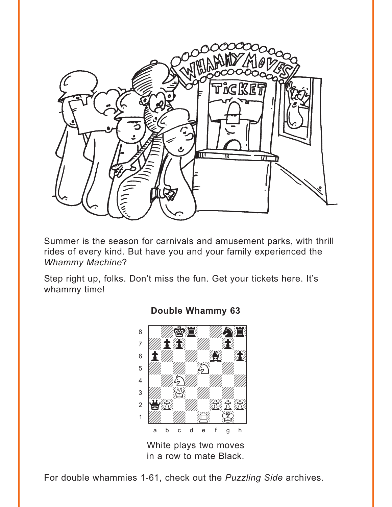<span id="page-1-0"></span>

Summer is the season for carnivals and amusement parks, with thrill rides of every kind. But have you and your family experienced the **Whammy Machine?** 

Step right up, folks. Don't miss the fun. Get your tickets here. It's whammy time!



### **Double Whammy 63**

White plays two moves in a row to mate Black.

For double whammies 1-61, check out the Puzzling Side archives.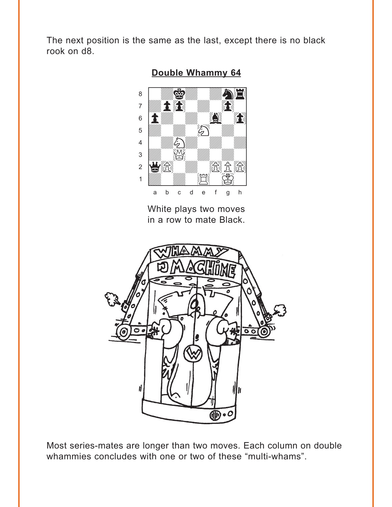<span id="page-2-0"></span>The next position is the same as the last, except there is no black rook on d8.



Double Whammy 64

White plays two moves in a row to mate Black.



Most series-mates are longer than two moves. Each column on double whammies concludes with one or two of these "multi-whams".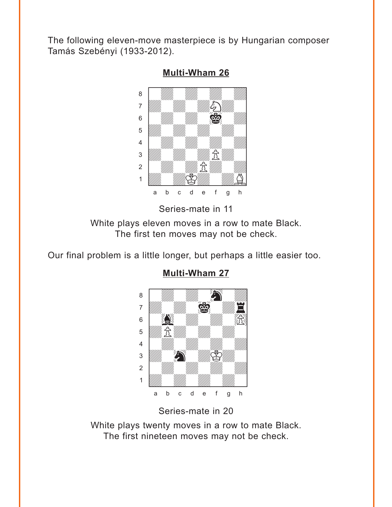<span id="page-3-0"></span>The following eleven-move masterpiece is by Hungarian composer Tamás Szebényi (1933-2012).



**[Multi-Wham 26](#page-5-0)**

Series-mate in 11

White plays eleven moves in a row to mate Black. The first ten moves may not be check.

Our final problem is a little longer, but perhaps a little easier too.



**[Multi-Wham 27](#page-6-0)**

Series-mate in 20

White plays twenty moves in a row to mate Black. The first nineteen moves may not be check.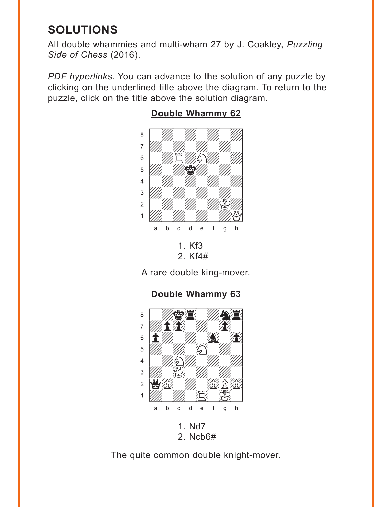# <span id="page-4-0"></span>**SOLUTIONS**

All double whammies and multi-wham 27 by J. Coakley, *Puzzling Side of Chess* (2016).

*PDF hyperlinks*. You can advance to the solution of any puzzle by clicking on the underlined title above the diagram. To return to the puzzle, click on the title above the solution diagram.



### **[Double Whammy 62](#page-0-0)**

2. Kf4#

A rare double king-mover.

**[Double Whammy 63](#page-1-0)** where  $\frac{1}{2}$  we have the set of  $\frac{1}{2}$ 



2. Ncb6#

The quite common double knight-mover.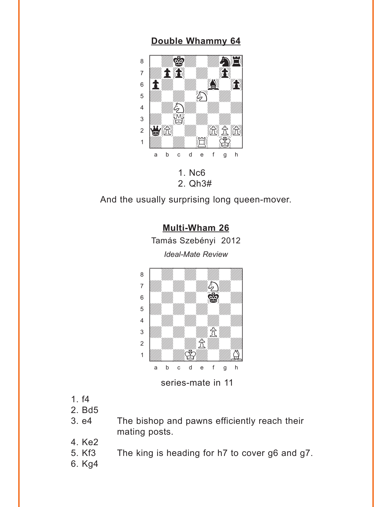### **[Double Whammy 64](#page-2-0)**

<span id="page-5-0"></span>

2. Qh3#

And the usually surprising long queen-mover.

**[Multi-Wham 26](#page-3-0)**

Tamás Szebényi 2012



- 1. f4
- 2. Bd5
- 3. e4 The bishop and pawns efficiently reach their mating posts.
- 4. Ke2
- 5. Kf3 The king is heading for h7 to cover g6 and g7.
- 6. Kg4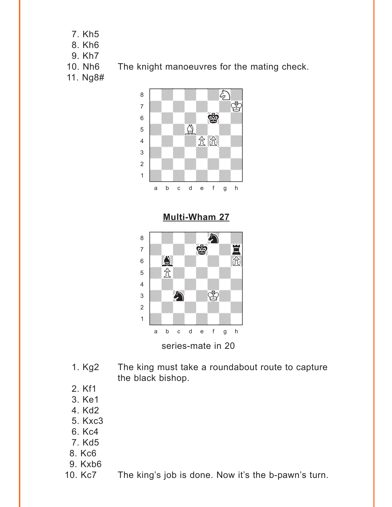- <span id="page-6-0"></span>7. Kh5
- 8. Kh6
- 9. Kh7
- 10. Nh6 The knight manoeuvres for the mating check.
- 11. Ng8#



**[Multi-Wham 27](#page-3-0)**



- 1. Kg2 The king must take a roundabout route to capture the black bishop.
- 2. Kf1
- 3. Ke1
- 4. Kd2
- 5. Kxc3
- 6. Kc4
- 7. Kd5
- 8. Kc6
- 9. Kxb6
- 10. Kc7 The king's job is done. Now it's the b-pawn's turn.